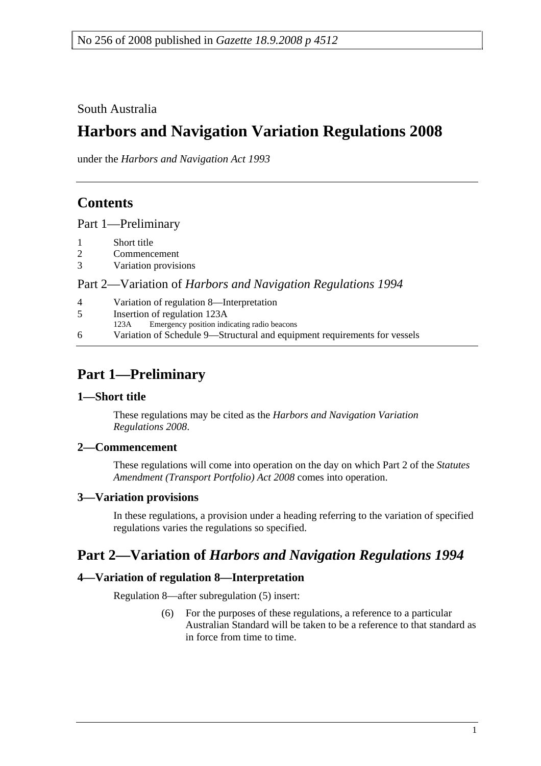South Australia

# **Harbors and Navigation Variation Regulations 2008**

under the *Harbors and Navigation Act 1993*

# **Contents**

Part 1—Preliminary

1 Short title

| ⌒<br>∠ | Commencement |
|--------|--------------|
|--------|--------------|

3 Variation provisions

Part 2—Variation of *Harbors and Navigation Regulations 1994*

| $\overline{4}$ | Variation of regulation 8—Interpretation                                  |
|----------------|---------------------------------------------------------------------------|
| 5              | Insertion of regulation 123A                                              |
|                | Emergency position indicating radio beacons<br>123A                       |
| 6              | Variation of Schedule 9—Structural and equipment requirements for vessels |

# **Part 1—Preliminary**

## **1—Short title**

These regulations may be cited as the *Harbors and Navigation Variation Regulations 2008*.

## **2—Commencement**

These regulations will come into operation on the day on which Part 2 of the *Statutes Amendment (Transport Portfolio) Act 2008* comes into operation.

## **3—Variation provisions**

In these regulations, a provision under a heading referring to the variation of specified regulations varies the regulations so specified.

# **Part 2—Variation of** *Harbors and Navigation Regulations 1994*

# **4—Variation of regulation 8—Interpretation**

Regulation 8—after subregulation (5) insert:

 (6) For the purposes of these regulations, a reference to a particular Australian Standard will be taken to be a reference to that standard as in force from time to time.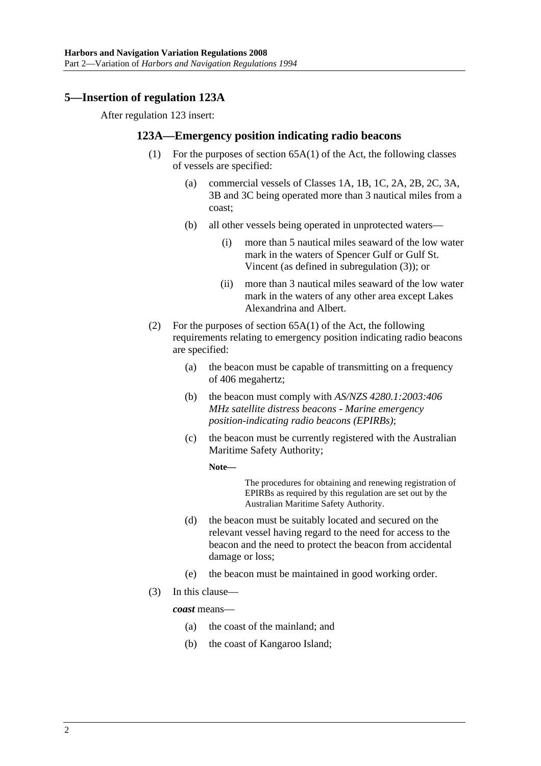# **5—Insertion of regulation 123A**

After regulation 123 insert:

### **123A—Emergency position indicating radio beacons**

- (1) For the purposes of section 65A(1) of the Act, the following classes of vessels are specified:
	- (a) commercial vessels of Classes 1A, 1B, 1C, 2A, 2B, 2C, 3A, 3B and 3C being operated more than 3 nautical miles from a coast;
	- (b) all other vessels being operated in unprotected waters—
		- (i) more than 5 nautical miles seaward of the low water mark in the waters of Spencer Gulf or Gulf St. Vincent (as defined in subregulation (3)); or
		- (ii) more than 3 nautical miles seaward of the low water mark in the waters of any other area except Lakes Alexandrina and Albert.
- (2) For the purposes of section  $65A(1)$  of the Act, the following requirements relating to emergency position indicating radio beacons are specified:
	- (a) the beacon must be capable of transmitting on a frequency of 406 megahertz;
	- (b) the beacon must comply with *AS/NZS 4280.1:2003:406 MHz satellite distress beacons - Marine emergency position-indicating radio beacons (EPIRBs)*;
	- (c) the beacon must be currently registered with the Australian Maritime Safety Authority;

**Note—** 

The procedures for obtaining and renewing registration of EPIRBs as required by this regulation are set out by the Australian Maritime Safety Authority.

- (d) the beacon must be suitably located and secured on the relevant vessel having regard to the need for access to the beacon and the need to protect the beacon from accidental damage or loss;
- (e) the beacon must be maintained in good working order.
- (3) In this clause—

*coast* means—

- (a) the coast of the mainland; and
- (b) the coast of Kangaroo Island;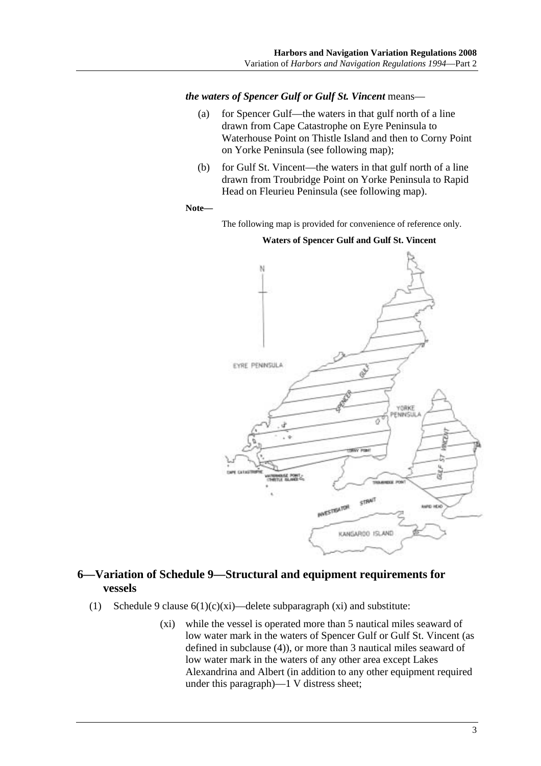*the waters of Spencer Gulf or Gulf St. Vincent* means—

- (a) for Spencer Gulf—the waters in that gulf north of a line drawn from Cape Catastrophe on Eyre Peninsula to Waterhouse Point on Thistle Island and then to Corny Point on Yorke Peninsula (see following map);
- (b) for Gulf St. Vincent—the waters in that gulf north of a line drawn from Troubridge Point on Yorke Peninsula to Rapid Head on Fleurieu Peninsula (see following map).

#### **Note—**

The following map is provided for convenience of reference only.



### **Waters of Spencer Gulf and Gulf St. Vincent**

# **6—Variation of Schedule 9—Structural and equipment requirements for vessels**

- (1) Schedule 9 clause  $6(1)(c)(xi)$ —delete subparagraph (xi) and substitute:
	- (xi) while the vessel is operated more than 5 nautical miles seaward of low water mark in the waters of Spencer Gulf or Gulf St. Vincent (as defined in subclause (4)), or more than 3 nautical miles seaward of low water mark in the waters of any other area except Lakes Alexandrina and Albert (in addition to any other equipment required under this paragraph)—1 V distress sheet;